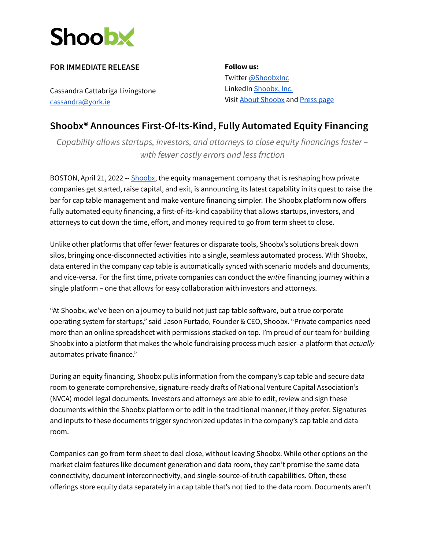

## **FOR IMMEDIATE RELEASE**

Cassandra Cattabriga Livingstone [cassandra@york.ie](mailto:cassandra@york.ie)

**Follow us:** Twitter [@ShoobxInc](https://twitter.com/ShoobxInc) LinkedIn [Shoobx,](https://www.linkedin.com/company/shoobx) Inc. Visit About [Shoobx](https://www.shoobx.com/about/our-company/) and [Press](https://www.shoobx.com/about/press/) page

## **Shoobx® Announces First-Of-Its-Kind, Fully Automated Equity Financing**

*Capability allows startups, investors, and attorneys to close equity financings faster – with fewer costly errors and less friction*

BOSTON, April 21, 2022 -- [Shoobx](https://www.shoobx.com/), the equity management company that is reshaping how private companies get started, raise capital, and exit, is announcing its latest capability in its quest to raise the bar for cap table management and make venture financing simpler. The Shoobx platform now offers fully automated equity financing, a first-of-its-kind capability that allows startups, investors, and attorneys to cut down the time, effort, and money required to go from term sheet to close.

Unlike other platforms that offer fewer features or disparate tools, Shoobx's solutions break down silos, bringing once-disconnected activities into a single, seamless automated process. With Shoobx, data entered in the company cap table is automatically synced with scenario models and documents, and vice-versa. For the first time, private companies can conduct the *entire* financing journey within a single platform – one that allows for easy collaboration with investors and attorneys.

"At Shoobx, we've been on a journey to build not just cap table software, but a true corporate operating system for startups," said Jason Furtado, Founder & CEO, Shoobx. "Private companies need more than an online spreadsheet with permissions stacked on top. I'm proud of our team for building Shoobx into a platform that makes the whole fundraising process much easier–a platform that *actually* automates private finance."

During an equity financing, Shoobx pulls information from the company's cap table and secure data room to generate comprehensive, signature-ready drafts of National Venture Capital Association's (NVCA) model legal documents. Investors and attorneys are able to edit, review and sign these documents within the Shoobx platform or to edit in the traditional manner, if they prefer. Signatures and inputs to these documents trigger synchronized updates in the company's cap table and data room.

Companies can go from term sheet to deal close, without leaving Shoobx. While other options on the market claim features like document generation and data room, they can't promise the same data connectivity, document interconnectivity, and single-source-of-truth capabilities. Often, these offerings store equity data separately in a cap table that's not tied to the data room. Documents aren't